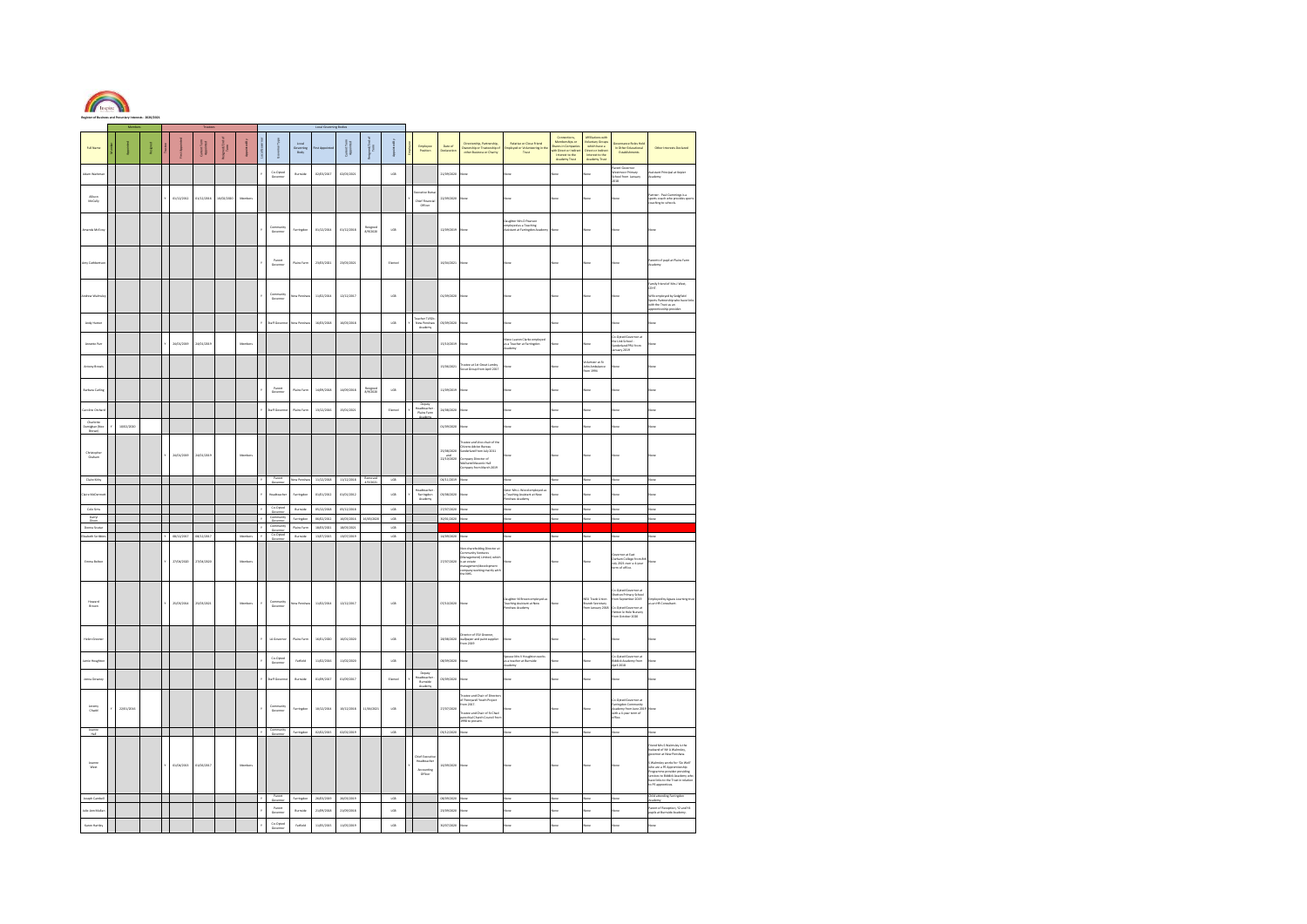

|                                             |            |   |                          |                           |                                 |                   |              | Local Gov                         |                                 |                          |                           |                       |                 |                                                               |                                 |                                                                                                                                                                     |                                                                                                       |                                                                                               |                                                                                                                 |                                                                                                                                                  |                                                                                                                                                                                                                                                                                       |
|---------------------------------------------|------------|---|--------------------------|---------------------------|---------------------------------|-------------------|--------------|-----------------------------------|---------------------------------|--------------------------|---------------------------|-----------------------|-----------------|---------------------------------------------------------------|---------------------------------|---------------------------------------------------------------------------------------------------------------------------------------------------------------------|-------------------------------------------------------------------------------------------------------|-----------------------------------------------------------------------------------------------|-----------------------------------------------------------------------------------------------------------------|--------------------------------------------------------------------------------------------------------------------------------------------------|---------------------------------------------------------------------------------------------------------------------------------------------------------------------------------------------------------------------------------------------------------------------------------------|
| <b>Full Name</b>                            |            | E | a cos                    | Current Term<br>Appointed | igned/findo<br>Tigm<br><b>B</b> | <b>kpointed</b>   |              |                                   | Local<br>Governi<br><b>Body</b> | int Agool                | Current Term<br>Appointed | way find<br>Time<br>з |                 | Employee<br>Position                                          | Date of<br>Declaration          | <i>Directorship, Partnership,</i><br>Dumenhip or Trusteeship o<br>other Business or Charity                                                                         | Relative or Close Friend<br>sployed or Volunteering in the<br>Trust                                   | Memberings or<br>hares in Companie<br>th Direct or Indies<br>Interest to the<br>Academy Trust | Affiliations with<br>Voluntary Groups<br>which have a<br>Direct or indirect<br>Interest to the<br>Academy Trust | Governance Roles Hel<br>In Other Educational<br>Establishments                                                                                   | Other Interests Declared                                                                                                                                                                                                                                                              |
| Adam Warkin                                 |            |   |                          |                           |                                 |                   |              | Co-Opted<br>Governor              | Burnster                        | 02/03/2017               | 02/03/2021                |                       | LGB             |                                                               | 21/09/2020                      | ane                                                                                                                                                                 |                                                                                                       | isee                                                                                          | ica                                                                                                             | Parent Governor<br>Westmoor Primary<br>School from January<br>2018                                                                               | sistant Principal at Kepler<br>kademy                                                                                                                                                                                                                                                 |
| Allison<br>McGully                          |            |   | 01/12/2012               | 01/12/2016                | 10/02/2020                      | Mem               |              |                                   |                                 |                          |                           |                       |                 | <b>cutive Bury</b><br>Chief Financia<br>Officer               | 22/09/202                       |                                                                                                                                                                     |                                                                                                       |                                                                                               |                                                                                                                 |                                                                                                                                                  | Partner - Paul Cummings is a<br>sports coach who provides sp<br>coaching to schools.                                                                                                                                                                                                  |
| munda McEve                                 |            |   |                          |                           |                                 |                   |              | Community<br>Governor             | Farings                         | 01/12/2014               | 01/12/2018                | Resigned<br>8/9/2020  | LGB             |                                                               | 12/09/2019                      |                                                                                                                                                                     | .<br>Daughter Mrs D Pearson<br>Koustant at Farringdon Ac                                              |                                                                                               |                                                                                                                 |                                                                                                                                                  |                                                                                                                                                                                                                                                                                       |
| <b>Iny Cutibert</b>                         |            |   |                          |                           |                                 |                   |              | Parent<br>Countries               | Plains Fa                       | 23/03/2021               | 23/03/2021                |                       | Elected         |                                                               | 16/04/2021                      |                                                                                                                                                                     |                                                                                                       |                                                                                               | .<br>Voce                                                                                                       |                                                                                                                                                  | Parentt of pupil at Plains Farm<br>Academy                                                                                                                                                                                                                                            |
| drew Wal                                    |            |   |                          |                           |                                 |                   |              | Community<br>Governor             | iew Per                         | 11/02/2014               | 12/12/2017                |                       | LGB             |                                                               | 01/09/2020                      |                                                                                                                                                                     |                                                                                                       | None                                                                                          | .<br>Voce                                                                                                       |                                                                                                                                                  | Family friend of Mrs J West,<br>CEHT.<br>Whe employed by Sedgfield<br>iports Partnenhip who have lin<br>with the Trust as an<br>opprenticeship provider.                                                                                                                              |
| Andy Hunter                                 |            |   |                          |                           |                                 |                   |              | <b>Raff Gove</b>                  | iew Pen                         | 16/03/2018               | 16/03/2018                |                       | $_{\rm LGA}$    | Feacher TLR2b<br>New Penshaw<br>Academy                       | 03/09/2020                      |                                                                                                                                                                     |                                                                                                       | a ce                                                                                          |                                                                                                                 |                                                                                                                                                  | ice                                                                                                                                                                                                                                                                                   |
| Annette Par                                 |            |   | 34/01/2019               | 24/01/201                 |                                 | Membe             |              |                                   |                                 |                          |                           |                       |                 |                                                               | 15/10/2019                      |                                                                                                                                                                     | Niece Lauren Clarke employed<br>as a Teacher at Farringdon<br>Academy                                 |                                                                                               |                                                                                                                 | Co-Opted Governor at<br>the Link School -<br>Sunderland PRU from<br>January 2019                                                                 |                                                                                                                                                                                                                                                                                       |
| Antony Brewl                                |            |   |                          |                           |                                 |                   |              |                                   |                                 |                          |                           |                       |                 |                                                               | 15/06/2021                      | -<br>Trustee at 1st Great Lumley<br>Scout Group from April 2017                                                                                                     |                                                                                                       |                                                                                               | <i>i</i> olunteer at St<br>ohn Ambulance<br>rom 1994                                                            |                                                                                                                                                  |                                                                                                                                                                                                                                                                                       |
| <b>Barbara Carline</b>                      |            |   |                          |                           |                                 |                   |              | Parent<br>Governor                | Plains Farm                     | 14/09/2018               | 14/09/2018                | Resigned<br>8/9/2020  | LGB             |                                                               | 11/09/2019                      | Noce                                                                                                                                                                | ane                                                                                                   |                                                                                               | icor                                                                                                            |                                                                                                                                                  |                                                                                                                                                                                                                                                                                       |
| aroline Orch                                |            |   |                          |                           |                                 |                   |              | katt Go                           | Plains Farm                     | 13/12/2016               | 15/01/2021                |                       | Elected         | Deputy<br>Isadzeacher<br>Plains Farm<br>Academy               | 14/06/2020                      | ane                                                                                                                                                                 |                                                                                                       |                                                                                               |                                                                                                                 |                                                                                                                                                  |                                                                                                                                                                                                                                                                                       |
| Charlotte<br>Dumighan (Ne<br>Erown)         | 10/02/202  |   |                          |                           |                                 |                   |              |                                   |                                 |                          |                           |                       |                 |                                                               | 01/09/202                       |                                                                                                                                                                     |                                                                                                       |                                                                                               |                                                                                                                 |                                                                                                                                                  |                                                                                                                                                                                                                                                                                       |
| Christopher<br>Graham                       |            |   | 34/01/2019               | 24/01/2019                |                                 | Member            |              |                                   |                                 |                          |                           |                       |                 |                                                               | 25/08/2020<br>and<br>22/10/2020 | uitee and Vice-chair of the<br>Citizens Advice Bureau<br>Sunderland from July 2011<br><b>Company Director of</b><br>Walsend Masonic Hall<br>Company from March 2019 |                                                                                                       |                                                                                               |                                                                                                                 |                                                                                                                                                  |                                                                                                                                                                                                                                                                                       |
| Claire Kirby                                |            |   |                          |                           |                                 |                   | Y.           | Parent<br>Governor                | New Penshaw                     | 11/12/2018               | 11/12/2018                | Removed<br>4/5/2021   | LGB             |                                                               | 04/11/2019                      | None                                                                                                                                                                | None                                                                                                  | None                                                                                          | None                                                                                                            | iote                                                                                                                                             | sce.                                                                                                                                                                                                                                                                                  |
| <b>Caire McDem</b><br>Cole Sims             |            |   |                          |                           |                                 |                   |              | <b>Headteache</b><br>Co-Opted     | Famingdon<br><b>Burnode</b>     | 01/01/2012<br>05/12/2018 | 01/01/2012<br>05/12/2018  |                       | LGB<br>LGB      | Fantingdon<br>Academy                                         | 03/08/2020<br>27/07/2020        | Nane<br>Nane                                                                                                                                                        | <b>Sister Mrs L Wood employed as<br/>a Teaching Austrant at New</b><br>Pershaw Academy<br><b>Seco</b> | .<br>Nace<br>.<br>Nace                                                                        | <b>Socie</b><br>koop                                                                                            | .<br>Ste<br>i.                                                                                                                                   | .<br>ce<br>cce                                                                                                                                                                                                                                                                        |
| Daryl<br>Dixon                              |            |   |                          |                           |                                 |                   |              | Communi<br>Governo                | Farrington                      | 06/02/2012               | 16/03/2016                | 16/03/2020            | $_{\rm LGA}$    |                                                               | 30/01/2020                      |                                                                                                                                                                     |                                                                                                       | <b>MARK</b>                                                                                   |                                                                                                                 |                                                                                                                                                  |                                                                                                                                                                                                                                                                                       |
| Donna Soutar                                |            |   |                          |                           |                                 |                   |              | Community<br>Governor<br>Co-Opted | Plains Farm                     | 18/03/2021               | 18/03/2021                |                       | $_{\rm 162}$    |                                                               |                                 |                                                                                                                                                                     |                                                                                                       |                                                                                               |                                                                                                                 |                                                                                                                                                  |                                                                                                                                                                                                                                                                                       |
| <b>Jabeth Scribb</b><br><b>Crema Bolton</b> |            |   | 08/12/2017<br>27/04/2020 | 08/12/2017<br>27/04/2020  |                                 | Members<br>Member |              |                                   | <b>Burnside</b>                 | 13/07/2015               | 13/07/2019                |                       | $_{\text{tGB}}$ |                                                               | 14/09/2020 None<br>27/07/2020   | Non-shareholding Director a<br>Community Ventures<br>Management) Limited, which<br>is an estate                                                                     | Nane                                                                                                  | None                                                                                          | None<br>icce                                                                                                    | None<br>Governor at East<br>Durham College from 89<br>July 2021 over a 4-year<br>term of office.                                                 | None<br>.<br>Ece                                                                                                                                                                                                                                                                      |
| Howard<br>Grown                             |            |   | 25/03/2014               | 25/03/2021                |                                 | Members           |              | Community<br>Governor             | <b>Vew Pensha</b>               | 11/02/2014               | 12/12/2017                |                       | LGB             |                                                               | 07/10/2020                      | None                                                                                                                                                                | Daughter M Brown employed at<br>Teaching Austrant at New<br>Pershaw Academy                           | Voce                                                                                          | NEU Trade Union<br>Aranch Secretary<br>from January 2018.                                                       | Co-Opted Governor at<br>Shotton Primary School<br>from September 2019<br>.<br>Co-Opted Governor at<br>ietton le Hole Nursery<br>rom October 2020 | .<br>Imployed by Jigsaw Lea<br>is an HR Consultant.                                                                                                                                                                                                                                   |
| Helen Greene                                |            |   |                          |                           |                                 |                   |              | LA Governo                        | Plains Farm                     | 16/01/2020               | 16/01/2020                |                       | LGB             |                                                               | 28/08/2020                      | rector of ESV Greener<br>wallpaper and paint supplier<br>from 2019                                                                                                  |                                                                                                       | .<br>40 ce                                                                                    |                                                                                                                 |                                                                                                                                                  |                                                                                                                                                                                                                                                                                       |
| lamie Houghto                               |            |   |                          |                           |                                 |                   |              | Co-Opted<br>Governor              | Fatfield                        | 11/02/2016               | 11/02/2020                |                       | LGB             |                                                               | 08/09/2020                      | isee                                                                                                                                                                | :<br>Spouse Mrs V Houghton works<br>as a teacher at Burmide<br>.<br>kademy                            |                                                                                               |                                                                                                                 | .<br>Co-Opted Governor at<br>Riddick Academy from<br><b>SEOL</b> Red                                                                             | one.                                                                                                                                                                                                                                                                                  |
| Jenna Downey                                |            |   |                          |                           |                                 |                   |              | <b>Staff Gover</b>                | <b>Burnsde</b>                  | 01/09/2017               | 01/09/2017                |                       | Elected         | Deputy<br>Insulteache<br>Burnside<br>Academy                  | 03/09/2020                      | 42ce                                                                                                                                                                | ana                                                                                                   | iane                                                                                          | icce                                                                                                            | ano                                                                                                                                              | .<br>ce                                                                                                                                                                                                                                                                               |
| Jeremy<br>Chadd                             | 22/01/2016 |   |                          |                           |                                 |                   |              | Community<br>Covernor             | Famin                           | 10/12/2014               | 10/12/2018                | 1.04/2021             | <b>LCB</b>      |                                                               | 22/07/2020                      | utee and Chair of Direct<br>of Pennywell Youth Project<br>from 2017.<br>Trustee and Chair of St Chad<br>parochial Church Council from<br>2998 to present.           |                                                                                                       |                                                                                               |                                                                                                                 | Co-Opted Governor at<br>Famingdon Community<br>Academy from June 201<br>with a 4-year term of<br>office.                                         |                                                                                                                                                                                                                                                                                       |
| Joanne<br>Heil                              |            |   |                          |                           |                                 |                   | $\mathbf{v}$ |                                   | Farington                       | 02/02/2015               | 02/02/2019                |                       | $_{\rm LGA}$    |                                                               | 03/12/2020 None                 |                                                                                                                                                                     | None                                                                                                  | Noce                                                                                          | icce                                                                                                            | ano                                                                                                                                              | icce                                                                                                                                                                                                                                                                                  |
| <b>Joanne</b><br>West                       |            |   | 01/04/2013               | 01/06/2017                |                                 | Member            |              |                                   |                                 |                          |                           |                       |                 | <b>Chief Executiv</b><br>Headbeacher<br>Accounting<br>Officer | 16/09/2020                      |                                                                                                                                                                     |                                                                                                       |                                                                                               |                                                                                                                 |                                                                                                                                                  | <b>Fierd Mrs S Walmsley is the</b><br>husband of Mr A Walmsley,<br>governor at New Penshaw.<br>S Walmsley works for 'Go Well'<br>who are a PE Apprenticeship<br>www.area.rx.eppenscessip<br>Programme.provider.providing<br>Newe links to the Trust in relation<br>to PE apprentices. |
| Joseph Cambell                              |            |   |                          |                           |                                 |                   |              |                                   | Farrington                      | 26/03/2029               | 26/03/2019                |                       | LGB             |                                                               | 08/09/2020 None                 |                                                                                                                                                                     | None                                                                                                  |                                                                                               | <b>Voce</b>                                                                                                     | lose                                                                                                                                             |                                                                                                                                                                                                                                                                                       |
| iale Ann Mali                               |            |   |                          |                           |                                 |                   |              | Parent<br>Governor                | <b>Burnsde</b>                  | 21/09/2018               | 21/09/2018                |                       | $_{\rm LGA}$    |                                                               | 23/09/202                       |                                                                                                                                                                     |                                                                                                       |                                                                                               |                                                                                                                 |                                                                                                                                                  | irent of Reception, Y2 and Y4<br>uplis at Eurnside Academy.                                                                                                                                                                                                                           |
| Karen Hartley                               |            |   |                          |                           |                                 |                   |              | Co-Opted<br>Governor              | Fatfield                        | 11/05/2015               | 11/05/2019                |                       | $_{\rm LGA}$    |                                                               | 30/07/2020                      |                                                                                                                                                                     |                                                                                                       |                                                                                               |                                                                                                                 |                                                                                                                                                  | .<br>Se                                                                                                                                                                                                                                                                               |